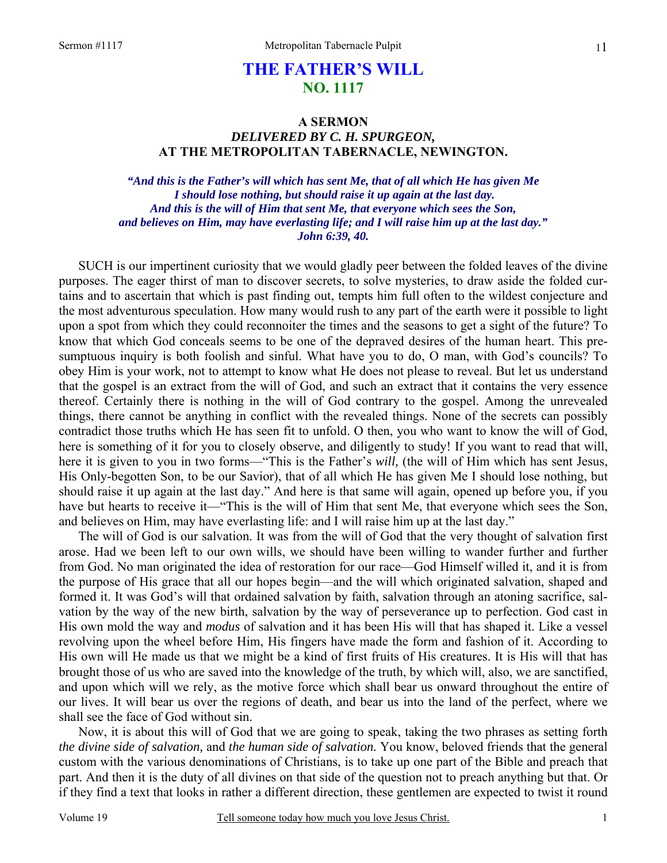# **THE FATHER'S WILL NO. 1117**

## **A SERMON**  *DELIVERED BY C. H. SPURGEON,*  **AT THE METROPOLITAN TABERNACLE, NEWINGTON.**

*"And this is the Father's will which has sent Me, that of all which He has given Me I should lose nothing, but should raise it up again at the last day. And this is the will of Him that sent Me, that everyone which sees the Son, and believes on Him, may have everlasting life; and I will raise him up at the last day." John 6:39, 40.* 

SUCH is our impertinent curiosity that we would gladly peer between the folded leaves of the divine purposes. The eager thirst of man to discover secrets, to solve mysteries, to draw aside the folded curtains and to ascertain that which is past finding out, tempts him full often to the wildest conjecture and the most adventurous speculation. How many would rush to any part of the earth were it possible to light upon a spot from which they could reconnoiter the times and the seasons to get a sight of the future? To know that which God conceals seems to be one of the depraved desires of the human heart. This presumptuous inquiry is both foolish and sinful. What have you to do, O man, with God's councils? To obey Him is your work, not to attempt to know what He does not please to reveal. But let us understand that the gospel is an extract from the will of God, and such an extract that it contains the very essence thereof. Certainly there is nothing in the will of God contrary to the gospel. Among the unrevealed things, there cannot be anything in conflict with the revealed things. None of the secrets can possibly contradict those truths which He has seen fit to unfold. O then, you who want to know the will of God, here is something of it for you to closely observe, and diligently to study! If you want to read that will, here it is given to you in two forms—"This is the Father's *will,* (the will of Him which has sent Jesus, His Only-begotten Son, to be our Savior), that of all which He has given Me I should lose nothing, but should raise it up again at the last day." And here is that same will again, opened up before you, if you have but hearts to receive it—"This is the will of Him that sent Me, that everyone which sees the Son, and believes on Him, may have everlasting life: and I will raise him up at the last day."

The will of God is our salvation. It was from the will of God that the very thought of salvation first arose. Had we been left to our own wills, we should have been willing to wander further and further from God. No man originated the idea of restoration for our race—God Himself willed it, and it is from the purpose of His grace that all our hopes begin—and the will which originated salvation, shaped and formed it. It was God's will that ordained salvation by faith, salvation through an atoning sacrifice, salvation by the way of the new birth, salvation by the way of perseverance up to perfection. God cast in His own mold the way and *modus* of salvation and it has been His will that has shaped it. Like a vessel revolving upon the wheel before Him, His fingers have made the form and fashion of it. According to His own will He made us that we might be a kind of first fruits of His creatures. It is His will that has brought those of us who are saved into the knowledge of the truth, by which will, also, we are sanctified, and upon which will we rely, as the motive force which shall bear us onward throughout the entire of our lives. It will bear us over the regions of death, and bear us into the land of the perfect, where we shall see the face of God without sin.

Now, it is about this will of God that we are going to speak, taking the two phrases as setting forth *the divine side of salvation,* and *the human side of salvation.* You know, beloved friends that the general custom with the various denominations of Christians, is to take up one part of the Bible and preach that part. And then it is the duty of all divines on that side of the question not to preach anything but that. Or if they find a text that looks in rather a different direction, these gentlemen are expected to twist it round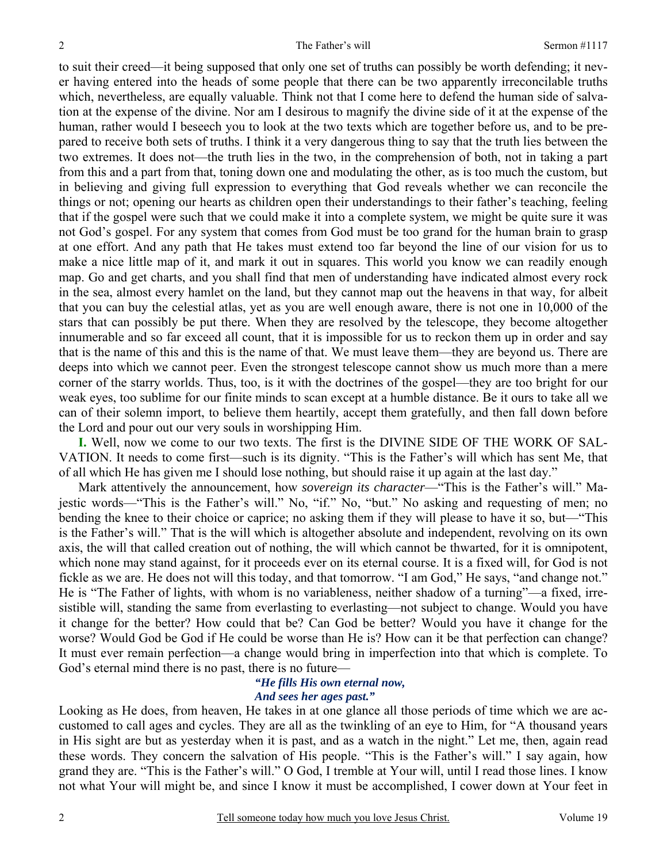to suit their creed—it being supposed that only one set of truths can possibly be worth defending; it never having entered into the heads of some people that there can be two apparently irreconcilable truths which, nevertheless, are equally valuable. Think not that I come here to defend the human side of salvation at the expense of the divine. Nor am I desirous to magnify the divine side of it at the expense of the human, rather would I beseech you to look at the two texts which are together before us, and to be prepared to receive both sets of truths. I think it a very dangerous thing to say that the truth lies between the two extremes. It does not—the truth lies in the two, in the comprehension of both, not in taking a part from this and a part from that, toning down one and modulating the other, as is too much the custom, but in believing and giving full expression to everything that God reveals whether we can reconcile the things or not; opening our hearts as children open their understandings to their father's teaching, feeling that if the gospel were such that we could make it into a complete system, we might be quite sure it was not God's gospel. For any system that comes from God must be too grand for the human brain to grasp at one effort. And any path that He takes must extend too far beyond the line of our vision for us to make a nice little map of it, and mark it out in squares. This world you know we can readily enough map. Go and get charts, and you shall find that men of understanding have indicated almost every rock in the sea, almost every hamlet on the land, but they cannot map out the heavens in that way, for albeit that you can buy the celestial atlas, yet as you are well enough aware, there is not one in 10,000 of the stars that can possibly be put there. When they are resolved by the telescope, they become altogether innumerable and so far exceed all count, that it is impossible for us to reckon them up in order and say that is the name of this and this is the name of that. We must leave them—they are beyond us. There are deeps into which we cannot peer. Even the strongest telescope cannot show us much more than a mere corner of the starry worlds. Thus, too, is it with the doctrines of the gospel—they are too bright for our weak eyes, too sublime for our finite minds to scan except at a humble distance. Be it ours to take all we can of their solemn import, to believe them heartily, accept them gratefully, and then fall down before the Lord and pour out our very souls in worshipping Him.

**I.** Well, now we come to our two texts. The first is the DIVINE SIDE OF THE WORK OF SAL-VATION. It needs to come first—such is its dignity. "This is the Father's will which has sent Me, that of all which He has given me I should lose nothing, but should raise it up again at the last day."

Mark attentively the announcement, how *sovereign its character*—"This is the Father's will." Majestic words—"This is the Father's will." No, "if." No, "but." No asking and requesting of men; no bending the knee to their choice or caprice; no asking them if they will please to have it so, but—"This is the Father's will." That is the will which is altogether absolute and independent, revolving on its own axis, the will that called creation out of nothing, the will which cannot be thwarted, for it is omnipotent, which none may stand against, for it proceeds ever on its eternal course. It is a fixed will, for God is not fickle as we are. He does not will this today, and that tomorrow. "I am God," He says, "and change not." He is "The Father of lights, with whom is no variableness, neither shadow of a turning"—a fixed, irresistible will, standing the same from everlasting to everlasting—not subject to change. Would you have it change for the better? How could that be? Can God be better? Would you have it change for the worse? Would God be God if He could be worse than He is? How can it be that perfection can change? It must ever remain perfection—a change would bring in imperfection into that which is complete. To God's eternal mind there is no past, there is no future—

### *"He fills His own eternal now, And sees her ages past."*

Looking as He does, from heaven, He takes in at one glance all those periods of time which we are accustomed to call ages and cycles. They are all as the twinkling of an eye to Him, for "A thousand years in His sight are but as yesterday when it is past, and as a watch in the night." Let me, then, again read these words. They concern the salvation of His people. "This is the Father's will." I say again, how grand they are. "This is the Father's will." O God, I tremble at Your will, until I read those lines. I know not what Your will might be, and since I know it must be accomplished, I cower down at Your feet in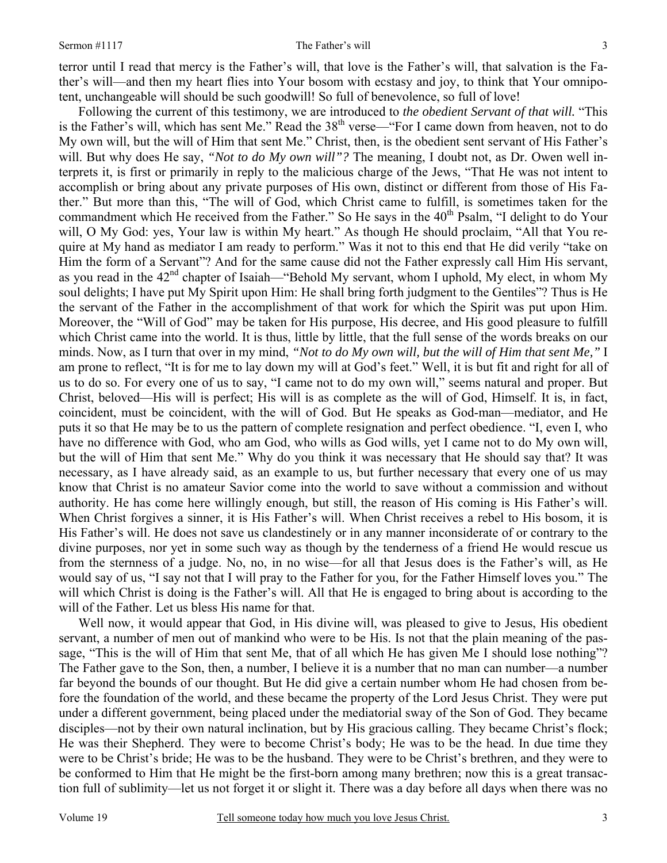#### Sermon #1117 The Father's will

terror until I read that mercy is the Father's will, that love is the Father's will, that salvation is the Father's will—and then my heart flies into Your bosom with ecstasy and joy, to think that Your omnipotent, unchangeable will should be such goodwill! So full of benevolence, so full of love!

Following the current of this testimony, we are introduced to *the obedient Servant of that will.* "This is the Father's will, which has sent Me." Read the 38<sup>th</sup> verse—"For I came down from heaven, not to do My own will, but the will of Him that sent Me." Christ, then, is the obedient sent servant of His Father's will. But why does He say, *"Not to do My own will"?* The meaning, I doubt not, as Dr. Owen well interprets it, is first or primarily in reply to the malicious charge of the Jews, "That He was not intent to accomplish or bring about any private purposes of His own, distinct or different from those of His Father." But more than this, "The will of God, which Christ came to fulfill, is sometimes taken for the commandment which He received from the Father." So He says in the 40<sup>th</sup> Psalm, "I delight to do Your will, O My God: yes, Your law is within My heart." As though He should proclaim, "All that You require at My hand as mediator I am ready to perform." Was it not to this end that He did verily "take on Him the form of a Servant"? And for the same cause did not the Father expressly call Him His servant, as you read in the 42<sup>nd</sup> chapter of Isaiah—"Behold My servant, whom I uphold, My elect, in whom My soul delights; I have put My Spirit upon Him: He shall bring forth judgment to the Gentiles"? Thus is He the servant of the Father in the accomplishment of that work for which the Spirit was put upon Him. Moreover, the "Will of God" may be taken for His purpose, His decree, and His good pleasure to fulfill which Christ came into the world. It is thus, little by little, that the full sense of the words breaks on our minds. Now, as I turn that over in my mind, *"Not to do My own will, but the will of Him that sent Me,"* I am prone to reflect, "It is for me to lay down my will at God's feet." Well, it is but fit and right for all of us to do so. For every one of us to say, "I came not to do my own will," seems natural and proper. But Christ, beloved—His will is perfect; His will is as complete as the will of God, Himself. It is, in fact, coincident, must be coincident, with the will of God. But He speaks as God-man—mediator, and He puts it so that He may be to us the pattern of complete resignation and perfect obedience. "I, even I, who have no difference with God, who am God, who wills as God wills, yet I came not to do My own will, but the will of Him that sent Me." Why do you think it was necessary that He should say that? It was necessary, as I have already said, as an example to us, but further necessary that every one of us may know that Christ is no amateur Savior come into the world to save without a commission and without authority. He has come here willingly enough, but still, the reason of His coming is His Father's will. When Christ forgives a sinner, it is His Father's will. When Christ receives a rebel to His bosom, it is His Father's will. He does not save us clandestinely or in any manner inconsiderate of or contrary to the divine purposes, nor yet in some such way as though by the tenderness of a friend He would rescue us from the sternness of a judge. No, no, in no wise—for all that Jesus does is the Father's will, as He would say of us, "I say not that I will pray to the Father for you, for the Father Himself loves you." The will which Christ is doing is the Father's will. All that He is engaged to bring about is according to the will of the Father. Let us bless His name for that.

Well now, it would appear that God, in His divine will, was pleased to give to Jesus, His obedient servant, a number of men out of mankind who were to be His. Is not that the plain meaning of the passage, "This is the will of Him that sent Me, that of all which He has given Me I should lose nothing"? The Father gave to the Son, then, a number, I believe it is a number that no man can number—a number far beyond the bounds of our thought. But He did give a certain number whom He had chosen from before the foundation of the world, and these became the property of the Lord Jesus Christ. They were put under a different government, being placed under the mediatorial sway of the Son of God. They became disciples—not by their own natural inclination, but by His gracious calling. They became Christ's flock; He was their Shepherd. They were to become Christ's body; He was to be the head. In due time they were to be Christ's bride; He was to be the husband. They were to be Christ's brethren, and they were to be conformed to Him that He might be the first-born among many brethren; now this is a great transaction full of sublimity—let us not forget it or slight it. There was a day before all days when there was no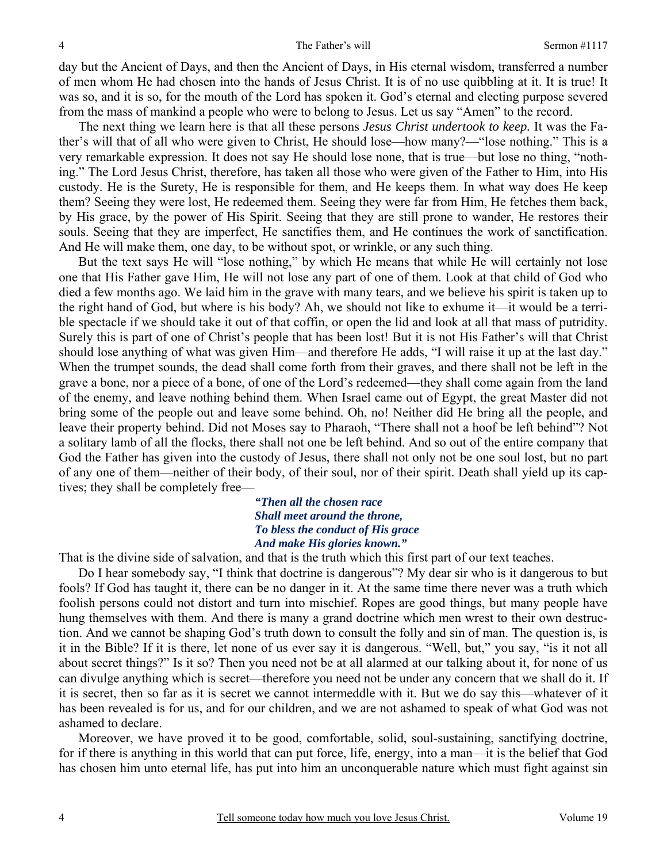day but the Ancient of Days, and then the Ancient of Days, in His eternal wisdom, transferred a number of men whom He had chosen into the hands of Jesus Christ. It is of no use quibbling at it. It is true! It was so, and it is so, for the mouth of the Lord has spoken it. God's eternal and electing purpose severed from the mass of mankind a people who were to belong to Jesus. Let us say "Amen" to the record.

The next thing we learn here is that all these persons *Jesus Christ undertook to keep.* It was the Father's will that of all who were given to Christ, He should lose—how many?—"lose nothing." This is a very remarkable expression. It does not say He should lose none, that is true—but lose no thing, "nothing." The Lord Jesus Christ, therefore, has taken all those who were given of the Father to Him, into His custody. He is the Surety, He is responsible for them, and He keeps them. In what way does He keep them? Seeing they were lost, He redeemed them. Seeing they were far from Him, He fetches them back, by His grace, by the power of His Spirit. Seeing that they are still prone to wander, He restores their souls. Seeing that they are imperfect, He sanctifies them, and He continues the work of sanctification. And He will make them, one day, to be without spot, or wrinkle, or any such thing.

But the text says He will "lose nothing," by which He means that while He will certainly not lose one that His Father gave Him, He will not lose any part of one of them. Look at that child of God who died a few months ago. We laid him in the grave with many tears, and we believe his spirit is taken up to the right hand of God, but where is his body? Ah, we should not like to exhume it—it would be a terrible spectacle if we should take it out of that coffin, or open the lid and look at all that mass of putridity. Surely this is part of one of Christ's people that has been lost! But it is not His Father's will that Christ should lose anything of what was given Him—and therefore He adds, "I will raise it up at the last day." When the trumpet sounds, the dead shall come forth from their graves, and there shall not be left in the grave a bone, nor a piece of a bone, of one of the Lord's redeemed—they shall come again from the land of the enemy, and leave nothing behind them. When Israel came out of Egypt, the great Master did not bring some of the people out and leave some behind. Oh, no! Neither did He bring all the people, and leave their property behind. Did not Moses say to Pharaoh, "There shall not a hoof be left behind"? Not a solitary lamb of all the flocks, there shall not one be left behind. And so out of the entire company that God the Father has given into the custody of Jesus, there shall not only not be one soul lost, but no part of any one of them—neither of their body, of their soul, nor of their spirit. Death shall yield up its captives; they shall be completely free—

> *"Then all the chosen race Shall meet around the throne, To bless the conduct of His grace And make His glories known."*

That is the divine side of salvation, and that is the truth which this first part of our text teaches.

 Do I hear somebody say, "I think that doctrine is dangerous"? My dear sir who is it dangerous to but fools? If God has taught it, there can be no danger in it. At the same time there never was a truth which foolish persons could not distort and turn into mischief. Ropes are good things, but many people have hung themselves with them. And there is many a grand doctrine which men wrest to their own destruction. And we cannot be shaping God's truth down to consult the folly and sin of man. The question is, is it in the Bible? If it is there, let none of us ever say it is dangerous. "Well, but," you say, "is it not all about secret things?" Is it so? Then you need not be at all alarmed at our talking about it, for none of us can divulge anything which is secret—therefore you need not be under any concern that we shall do it. If it is secret, then so far as it is secret we cannot intermeddle with it. But we do say this—whatever of it has been revealed is for us, and for our children, and we are not ashamed to speak of what God was not ashamed to declare.

 Moreover, we have proved it to be good, comfortable, solid, soul-sustaining, sanctifying doctrine, for if there is anything in this world that can put force, life, energy, into a man—it is the belief that God has chosen him unto eternal life, has put into him an unconquerable nature which must fight against sin

4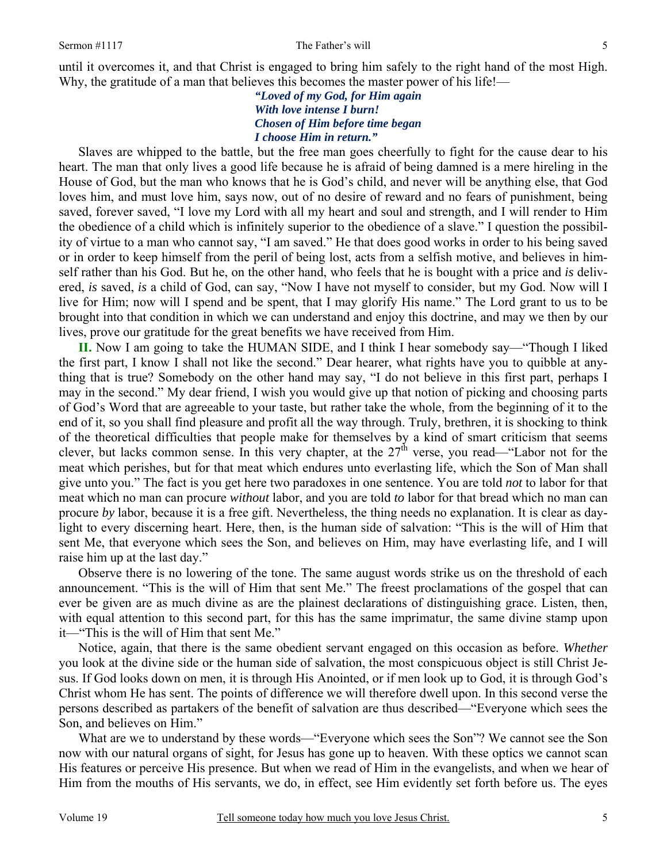until it overcomes it, and that Christ is engaged to bring him safely to the right hand of the most High. Why, the gratitude of a man that believes this becomes the master power of his life!—

> *"Loved of my God, for Him again With love intense I burn! Chosen of Him before time began I choose Him in return."*

 Slaves are whipped to the battle, but the free man goes cheerfully to fight for the cause dear to his heart. The man that only lives a good life because he is afraid of being damned is a mere hireling in the House of God, but the man who knows that he is God's child, and never will be anything else, that God loves him, and must love him, says now, out of no desire of reward and no fears of punishment, being saved, forever saved, "I love my Lord with all my heart and soul and strength, and I will render to Him the obedience of a child which is infinitely superior to the obedience of a slave." I question the possibility of virtue to a man who cannot say, "I am saved." He that does good works in order to his being saved or in order to keep himself from the peril of being lost, acts from a selfish motive, and believes in himself rather than his God. But he, on the other hand, who feels that he is bought with a price and *is* delivered, *is* saved, *is* a child of God, can say, "Now I have not myself to consider, but my God. Now will I live for Him; now will I spend and be spent, that I may glorify His name." The Lord grant to us to be brought into that condition in which we can understand and enjoy this doctrine, and may we then by our lives, prove our gratitude for the great benefits we have received from Him.

**II.** Now I am going to take the HUMAN SIDE, and I think I hear somebody say—"Though I liked the first part, I know I shall not like the second." Dear hearer, what rights have you to quibble at anything that is true? Somebody on the other hand may say, "I do not believe in this first part, perhaps I may in the second." My dear friend, I wish you would give up that notion of picking and choosing parts of God's Word that are agreeable to your taste, but rather take the whole, from the beginning of it to the end of it, so you shall find pleasure and profit all the way through. Truly, brethren, it is shocking to think of the theoretical difficulties that people make for themselves by a kind of smart criticism that seems clever, but lacks common sense. In this very chapter, at the  $27<sup>th</sup>$  verse, you read—"Labor not for the meat which perishes, but for that meat which endures unto everlasting life, which the Son of Man shall give unto you." The fact is you get here two paradoxes in one sentence. You are told *not* to labor for that meat which no man can procure *without* labor, and you are told *to* labor for that bread which no man can procure *by* labor, because it is a free gift. Nevertheless, the thing needs no explanation. It is clear as daylight to every discerning heart. Here, then, is the human side of salvation: "This is the will of Him that sent Me, that everyone which sees the Son, and believes on Him, may have everlasting life, and I will raise him up at the last day."

Observe there is no lowering of the tone. The same august words strike us on the threshold of each announcement. "This is the will of Him that sent Me." The freest proclamations of the gospel that can ever be given are as much divine as are the plainest declarations of distinguishing grace. Listen, then, with equal attention to this second part, for this has the same imprimatur, the same divine stamp upon it—"This is the will of Him that sent Me."

Notice, again, that there is the same obedient servant engaged on this occasion as before. *Whether*  you look at the divine side or the human side of salvation, the most conspicuous object is still Christ Jesus. If God looks down on men, it is through His Anointed, or if men look up to God, it is through God's Christ whom He has sent. The points of difference we will therefore dwell upon. In this second verse the persons described as partakers of the benefit of salvation are thus described—"Everyone which sees the Son, and believes on Him."

What are we to understand by these words—"Everyone which sees the Son"? We cannot see the Son now with our natural organs of sight, for Jesus has gone up to heaven. With these optics we cannot scan His features or perceive His presence. But when we read of Him in the evangelists, and when we hear of Him from the mouths of His servants, we do, in effect, see Him evidently set forth before us. The eyes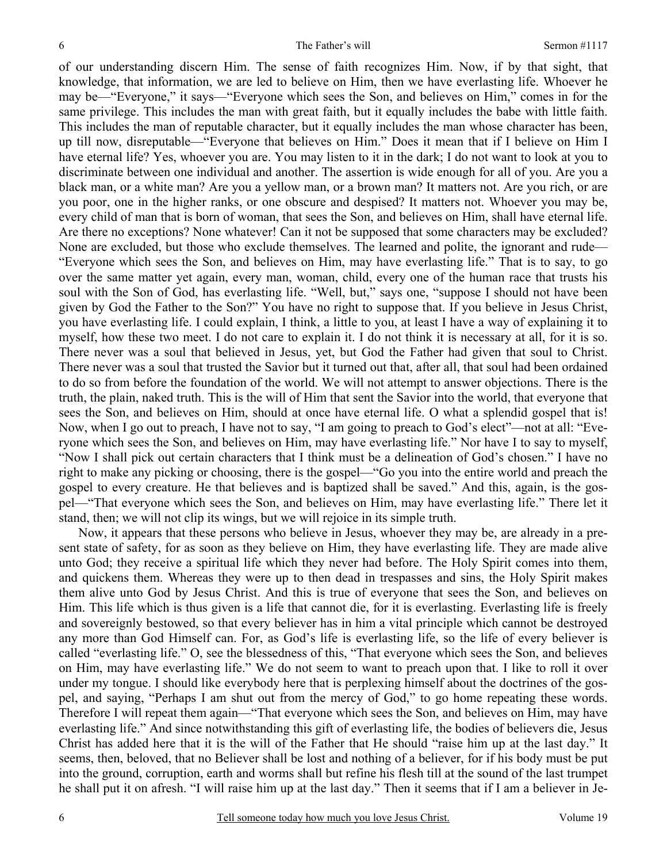of our understanding discern Him. The sense of faith recognizes Him. Now, if by that sight, that knowledge, that information, we are led to believe on Him, then we have everlasting life. Whoever he may be—"Everyone," it says—"Everyone which sees the Son, and believes on Him," comes in for the same privilege. This includes the man with great faith, but it equally includes the babe with little faith. This includes the man of reputable character, but it equally includes the man whose character has been, up till now, disreputable—"Everyone that believes on Him." Does it mean that if I believe on Him I have eternal life? Yes, whoever you are. You may listen to it in the dark; I do not want to look at you to discriminate between one individual and another. The assertion is wide enough for all of you. Are you a black man, or a white man? Are you a yellow man, or a brown man? It matters not. Are you rich, or are you poor, one in the higher ranks, or one obscure and despised? It matters not. Whoever you may be, every child of man that is born of woman, that sees the Son, and believes on Him, shall have eternal life. Are there no exceptions? None whatever! Can it not be supposed that some characters may be excluded? None are excluded, but those who exclude themselves. The learned and polite, the ignorant and rude— "Everyone which sees the Son, and believes on Him, may have everlasting life." That is to say, to go over the same matter yet again, every man, woman, child, every one of the human race that trusts his soul with the Son of God, has everlasting life. "Well, but," says one, "suppose I should not have been given by God the Father to the Son?" You have no right to suppose that. If you believe in Jesus Christ, you have everlasting life. I could explain, I think, a little to you, at least I have a way of explaining it to myself, how these two meet. I do not care to explain it. I do not think it is necessary at all, for it is so. There never was a soul that believed in Jesus, yet, but God the Father had given that soul to Christ. There never was a soul that trusted the Savior but it turned out that, after all, that soul had been ordained to do so from before the foundation of the world. We will not attempt to answer objections. There is the truth, the plain, naked truth. This is the will of Him that sent the Savior into the world, that everyone that sees the Son, and believes on Him, should at once have eternal life. O what a splendid gospel that is! Now, when I go out to preach, I have not to say, "I am going to preach to God's elect"—not at all: "Everyone which sees the Son, and believes on Him, may have everlasting life." Nor have I to say to myself, "Now I shall pick out certain characters that I think must be a delineation of God's chosen." I have no right to make any picking or choosing, there is the gospel—"Go you into the entire world and preach the gospel to every creature. He that believes and is baptized shall be saved." And this, again, is the gospel—"That everyone which sees the Son, and believes on Him, may have everlasting life." There let it stand, then; we will not clip its wings, but we will rejoice in its simple truth.

Now, it appears that these persons who believe in Jesus, whoever they may be, are already in a present state of safety, for as soon as they believe on Him, they have everlasting life. They are made alive unto God; they receive a spiritual life which they never had before. The Holy Spirit comes into them, and quickens them. Whereas they were up to then dead in trespasses and sins, the Holy Spirit makes them alive unto God by Jesus Christ. And this is true of everyone that sees the Son, and believes on Him. This life which is thus given is a life that cannot die, for it is everlasting. Everlasting life is freely and sovereignly bestowed, so that every believer has in him a vital principle which cannot be destroyed any more than God Himself can. For, as God's life is everlasting life, so the life of every believer is called "everlasting life." O, see the blessedness of this, "That everyone which sees the Son, and believes on Him, may have everlasting life." We do not seem to want to preach upon that. I like to roll it over under my tongue. I should like everybody here that is perplexing himself about the doctrines of the gospel, and saying, "Perhaps I am shut out from the mercy of God," to go home repeating these words. Therefore I will repeat them again—"That everyone which sees the Son, and believes on Him, may have everlasting life." And since notwithstanding this gift of everlasting life, the bodies of believers die, Jesus Christ has added here that it is the will of the Father that He should "raise him up at the last day." It seems, then, beloved, that no Believer shall be lost and nothing of a believer, for if his body must be put into the ground, corruption, earth and worms shall but refine his flesh till at the sound of the last trumpet he shall put it on afresh. "I will raise him up at the last day." Then it seems that if I am a believer in Je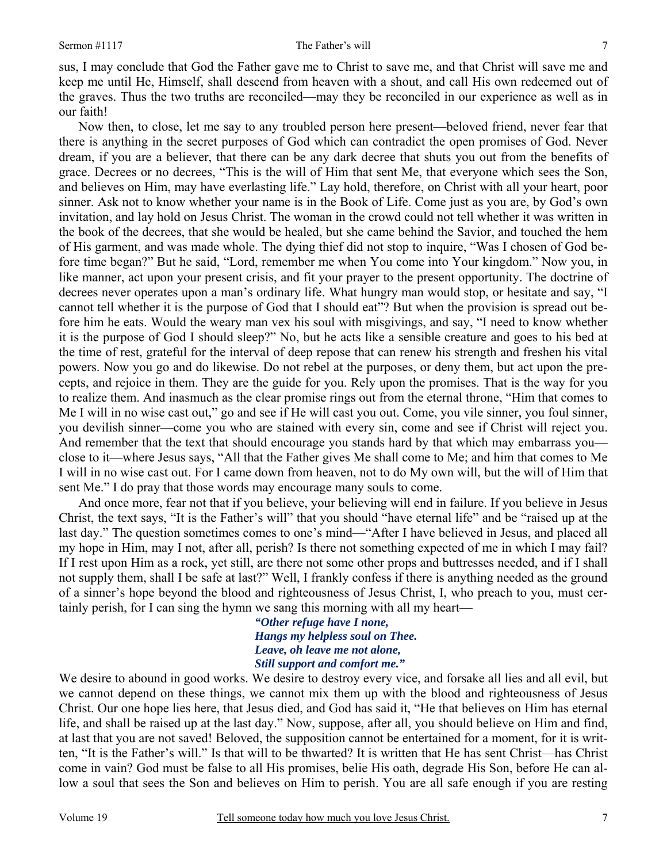sus, I may conclude that God the Father gave me to Christ to save me, and that Christ will save me and keep me until He, Himself, shall descend from heaven with a shout, and call His own redeemed out of the graves. Thus the two truths are reconciled—may they be reconciled in our experience as well as in our faith!

Now then, to close, let me say to any troubled person here present—beloved friend, never fear that there is anything in the secret purposes of God which can contradict the open promises of God. Never dream, if you are a believer, that there can be any dark decree that shuts you out from the benefits of grace. Decrees or no decrees, "This is the will of Him that sent Me, that everyone which sees the Son, and believes on Him, may have everlasting life." Lay hold, therefore, on Christ with all your heart, poor sinner. Ask not to know whether your name is in the Book of Life. Come just as you are, by God's own invitation, and lay hold on Jesus Christ. The woman in the crowd could not tell whether it was written in the book of the decrees, that she would be healed, but she came behind the Savior, and touched the hem of His garment, and was made whole. The dying thief did not stop to inquire, "Was I chosen of God before time began?" But he said, "Lord, remember me when You come into Your kingdom." Now you, in like manner, act upon your present crisis, and fit your prayer to the present opportunity. The doctrine of decrees never operates upon a man's ordinary life. What hungry man would stop, or hesitate and say, "I cannot tell whether it is the purpose of God that I should eat"? But when the provision is spread out before him he eats. Would the weary man vex his soul with misgivings, and say, "I need to know whether it is the purpose of God I should sleep?" No, but he acts like a sensible creature and goes to his bed at the time of rest, grateful for the interval of deep repose that can renew his strength and freshen his vital powers. Now you go and do likewise. Do not rebel at the purposes, or deny them, but act upon the precepts, and rejoice in them. They are the guide for you. Rely upon the promises. That is the way for you to realize them. And inasmuch as the clear promise rings out from the eternal throne, "Him that comes to Me I will in no wise cast out," go and see if He will cast you out. Come, you vile sinner, you foul sinner, you devilish sinner—come you who are stained with every sin, come and see if Christ will reject you. And remember that the text that should encourage you stands hard by that which may embarrass you close to it—where Jesus says, "All that the Father gives Me shall come to Me; and him that comes to Me I will in no wise cast out. For I came down from heaven, not to do My own will, but the will of Him that sent Me." I do pray that those words may encourage many souls to come.

And once more, fear not that if you believe, your believing will end in failure. If you believe in Jesus Christ, the text says, "It is the Father's will" that you should "have eternal life" and be "raised up at the last day." The question sometimes comes to one's mind—"After I have believed in Jesus, and placed all my hope in Him, may I not, after all, perish? Is there not something expected of me in which I may fail? If I rest upon Him as a rock, yet still, are there not some other props and buttresses needed, and if I shall not supply them, shall I be safe at last?" Well, I frankly confess if there is anything needed as the ground of a sinner's hope beyond the blood and righteousness of Jesus Christ, I, who preach to you, must certainly perish, for I can sing the hymn we sang this morning with all my heart—

> *"Other refuge have I none, Hangs my helpless soul on Thee. Leave, oh leave me not alone, Still support and comfort me."*

We desire to abound in good works. We desire to destroy every vice, and forsake all lies and all evil, but we cannot depend on these things, we cannot mix them up with the blood and righteousness of Jesus Christ. Our one hope lies here, that Jesus died, and God has said it, "He that believes on Him has eternal life, and shall be raised up at the last day." Now, suppose, after all, you should believe on Him and find, at last that you are not saved! Beloved, the supposition cannot be entertained for a moment, for it is written, "It is the Father's will." Is that will to be thwarted? It is written that He has sent Christ—has Christ come in vain? God must be false to all His promises, belie His oath, degrade His Son, before He can allow a soul that sees the Son and believes on Him to perish. You are all safe enough if you are resting